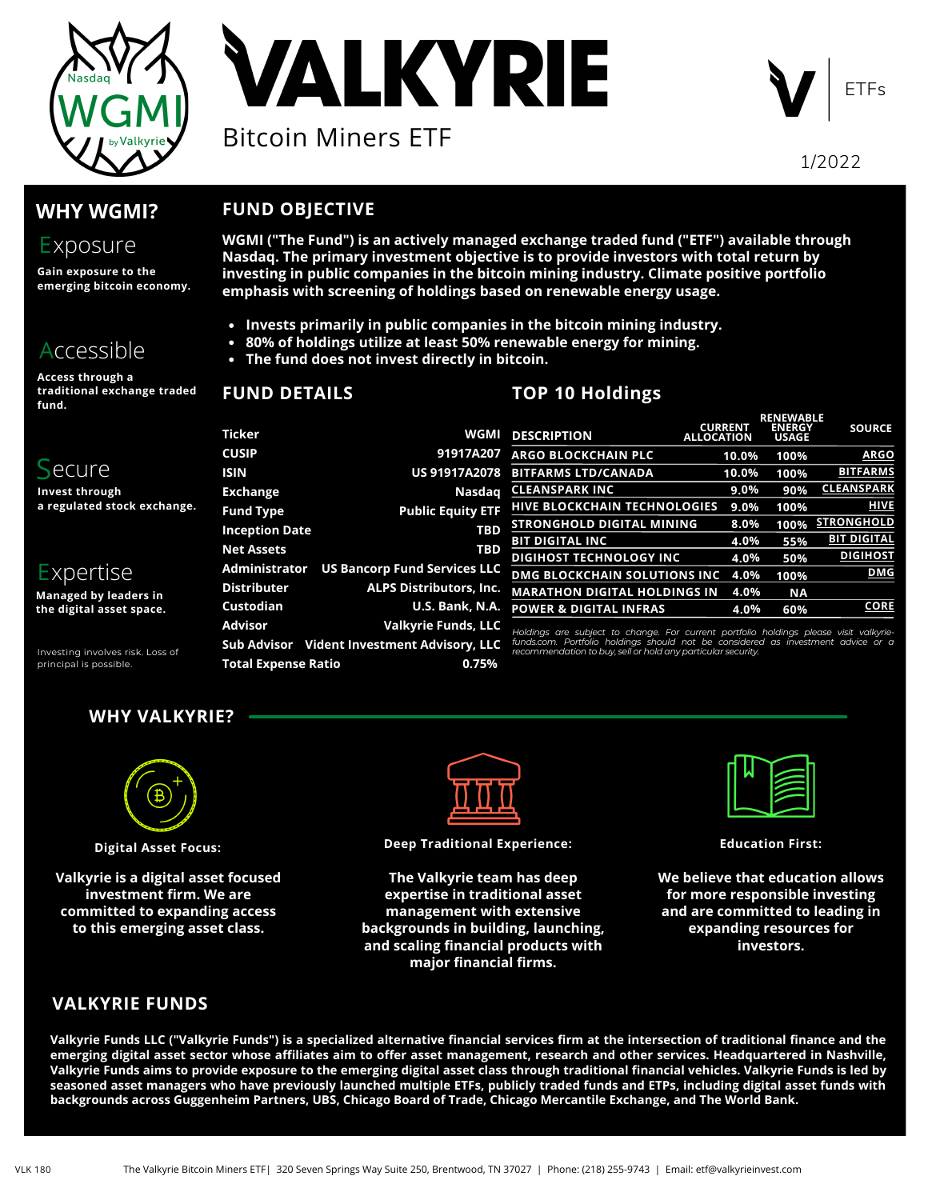

**VALKYRIE** Bitcoin Miners ETF



1/2022

# **WHY WGMI?**

# Exposure

**Gain exposure to the emerging bitcoin economy.**

# Accessible

**Access through a traditional exchange traded fund.**

# S ecure

**Invest through a regulated stock exchange.**

# E xpertise

**Managed by leaders in the digital asset space.**

Investing involves risk. Loss of principal is possible.

# **WHY VALKYRIE?**

**Total Expense Ratio**

**FUND DETAILS**

**FUND OBJECTIVE**



**Digital Asset Focus:**

**Valkyrie is a digital asset focused investment firm. We are committed to expanding access to this emerging asset class.**



**Deep Traditional Experience:**

**The Valkyrie team has deep expertise in traditional asset management with extensive backgrounds in building, launching, and scaling financial products with major financial firms.**

**Education First:**

**We believe that education allows for more responsible investing and are committed to leading in expanding resources for investors.**

## **VALKYRIE FUNDS**

Valkyrie Funds LLC ("Valkyrie Funds") is a specialized alternative financial services firm at the intersection of traditional finance and the emerging digital asset sector whose affiliates aim to offer asset management, research and other services. Headquartered in Nashville, Valkyrie Funds aims to provide exposure to the emerging digital asset class through traditional financial vehicles. Valkyrie Funds is led by seasoned asset managers who have previously launched multiple ETFs, publicly traded funds and ETPs, including digital asset funds with backgrounds across Guggenheim Partners, UBS, Chicago Board of Trade, Chicago Mercantile Exchange, and The World Bank.

#### **Invests primarily in public companies in the bitcoin mining industry. 80% of holdings utilize at least 50% renewable energy for mining.**

**emphasis with screening of holdings based on renewable energy usage.**

**The fund does not invest directly in bitcoin.**

# **TOP 10 Holdings**

|      |                       |                                        |                                                                                                                                                |                                     | RENEWABLE                     |                    |  |
|------|-----------------------|----------------------------------------|------------------------------------------------------------------------------------------------------------------------------------------------|-------------------------------------|-------------------------------|--------------------|--|
|      | <b>Ticker</b>         | WGMI                                   | <b>DESCRIPTION</b>                                                                                                                             | <b>CURRENT</b><br><b>ALLOCATION</b> | <b>ENERGY</b><br><b>USAGE</b> | <b>SOURCE</b>      |  |
| nge. | <b>CUSIP</b>          | 91917A207                              | <b>ARGO BLOCKCHAIN PLC</b>                                                                                                                     | 10.0%                               | 100%                          | <b>ARGO</b>        |  |
|      | <b>ISIN</b>           | <b>US 91917A2078</b>                   | <b>BITFARMS LTD/CANADA</b>                                                                                                                     | 10.0%                               | 100%                          | <b>BITFARMS</b>    |  |
|      | <b>Exchange</b>       | Nasdag                                 | <b>CLEANSPARK INC</b>                                                                                                                          | 9.0%                                | 90%                           | <b>CLEANSPARK</b>  |  |
|      | <b>Fund Type</b>      | <b>Public Equity ETF</b>               | <b>HIVE BLOCKCHAIN TECHNOLOGIES</b>                                                                                                            | $9.0\%$                             | 100%                          | <b>HIVE</b>        |  |
|      | <b>Inception Date</b> | <b>TBD</b>                             | <b>STRONGHOLD DIGITAL MINING</b>                                                                                                               | 8.0%                                | 100%                          | <b>STRONGHOLD</b>  |  |
|      |                       |                                        | <b>BIT DIGITAL INC</b>                                                                                                                         | 4.0%                                | 55%                           | <b>BIT DIGITAL</b> |  |
|      | <b>Net Assets</b>     | <b>TBD</b>                             | <b>DIGIHOST TECHNOLOGY INC</b>                                                                                                                 | 4.0%                                | 50%                           | <b>DIGIHOST</b>    |  |
|      | Administrator         | <b>US Bancorp Fund Services LLC</b>    | <b>DMG BLOCKCHAIN SOLUTIONS INC</b>                                                                                                            | 4.0%                                | 100%                          | <b>DMG</b>         |  |
|      | <b>Distributer</b>    | <b>ALPS Distributors, Inc.</b>         | <b>MARATHON DIGITAL HOLDINGS IN</b>                                                                                                            | 4.0%                                | <b>NA</b>                     |                    |  |
|      | Custodian             | U.S. Bank, N.A.                        | <b>POWER &amp; DIGITAL INFRAS</b>                                                                                                              | 4.0%                                | 60%                           | <b>CORE</b>        |  |
|      | <b>Advisor</b>        | <b>Valkyrie Funds, LLC</b>             | Holdings are subject to change. For current portfolio holdings please visit valkyrie-                                                          |                                     |                               |                    |  |
|      | Sub Advisor           | <b>Vident Investment Advisory, LLC</b> | funds.com. Portfolio holdings should not be considered as investment advice or a<br>recommendation to buy call or bold any particular coourity |                                     |                               |                    |  |

**WGMI ("The Fund") is an actively managed exchange traded fund ("ETF") available through Nasdaq. The primary investment objective is to provide investors with total return by investing in public companies in the bitcoin mining industry. Climate positive portfolio**

**0.75%**

*recommendation to buy, sell or hold any particular security.*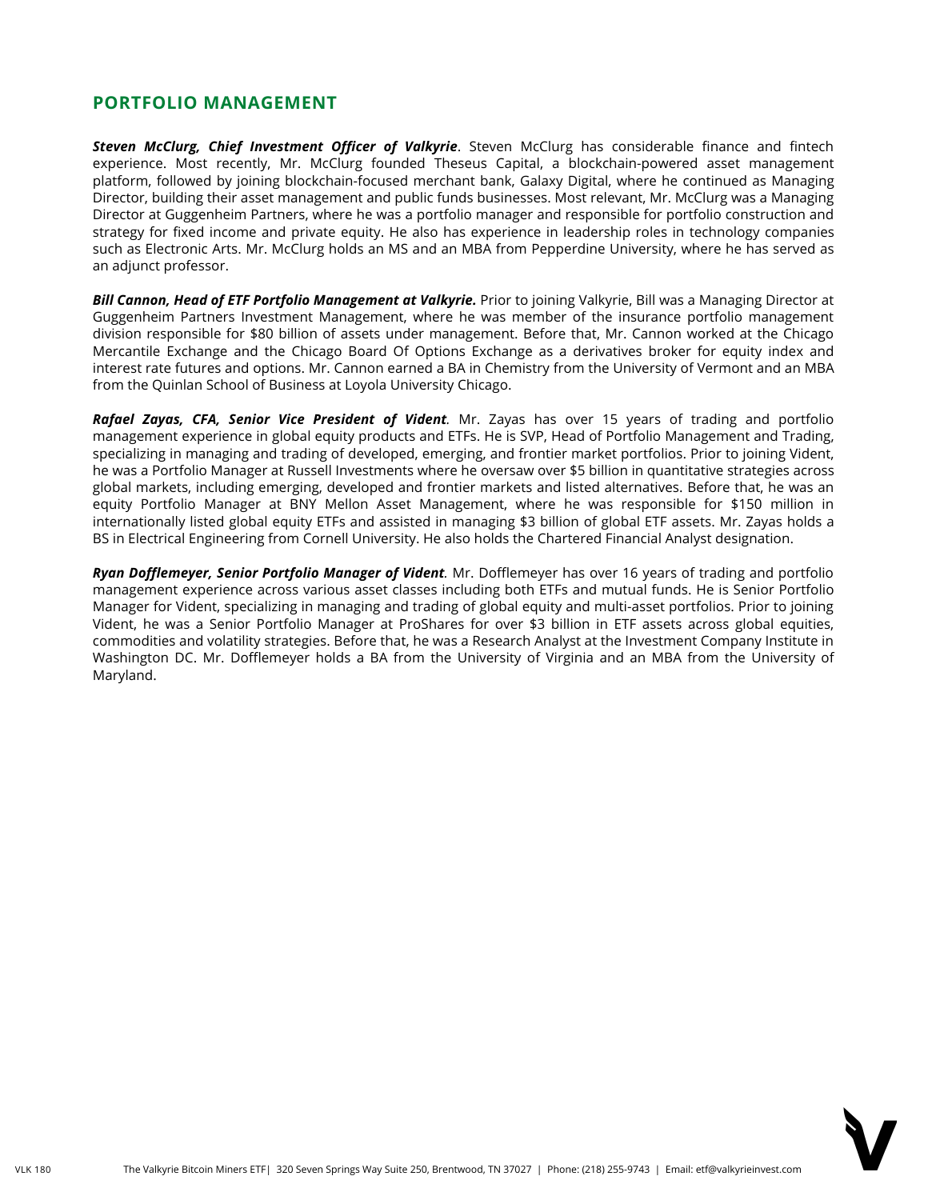#### **PORTFOLIO MANAGEMENT**

*Steven McClurg, Chief Investment Officer of Valkyrie*. Steven McClurg has considerable finance and fintech experience. Most recently, Mr. McClurg founded Theseus Capital, a blockchain-powered asset management platform, followed by joining blockchain-focused merchant bank, Galaxy Digital, where he continued as Managing Director, building their asset management and public funds businesses. Most relevant, Mr. McClurg was a Managing Director at Guggenheim Partners, where he was a portfolio manager and responsible for portfolio construction and strategy for fixed income and private equity. He also has experience in leadership roles in technology companies such as Electronic Arts. Mr. McClurg holds an MS and an MBA from Pepperdine University, where he has served as an adjunct professor.

*Bill Cannon, Head of ETF Portfolio Management at Valkyrie.* Prior to joining Valkyrie, Bill was a Managing Director at Guggenheim Partners Investment Management, where he was member of the insurance portfolio management division responsible for \$80 billion of assets under management. Before that, Mr. Cannon worked at the Chicago Mercantile Exchange and the Chicago Board Of Options Exchange as a derivatives broker for equity index and interest rate futures and options. Mr. Cannon earned a BA in Chemistry from the University of Vermont and an MBA from the Quinlan School of Business at Loyola University Chicago.

*Rafael Zayas, CFA, Senior Vice President of Vident.* Mr. Zayas has over 15 years of trading and portfolio management experience in global equity products and ETFs. He is SVP, Head of Portfolio Management and Trading, specializing in managing and trading of developed, emerging, and frontier market portfolios. Prior to joining Vident, he was a Portfolio Manager at Russell Investments where he oversaw over \$5 billion in quantitative strategies across global markets, including emerging, developed and frontier markets and listed alternatives. Before that, he was an equity Portfolio Manager at BNY Mellon Asset Management, where he was responsible for \$150 million in internationally listed global equity ETFs and assisted in managing \$3 billion of global ETF assets. Mr. Zayas holds a BS in Electrical Engineering from Cornell University. He also holds the Chartered Financial Analyst designation.

*Ryan Dofflemeyer, Senior Portfolio Manager of Vident.* Mr. Dofflemeyer has over 16 years of trading and portfolio management experience across various asset classes including both ETFs and mutual funds. He is Senior Portfolio Manager for Vident, specializing in managing and trading of global equity and multi-asset portfolios. Prior to joining Vident, he was a Senior Portfolio Manager at ProShares for over \$3 billion in ETF assets across global equities, commodities and volatility strategies. Before that, he was a Research Analyst at the Investment Company Institute in Washington DC. Mr. Dofflemeyer holds a BA from the University of Virginia and an MBA from the University of Maryland.

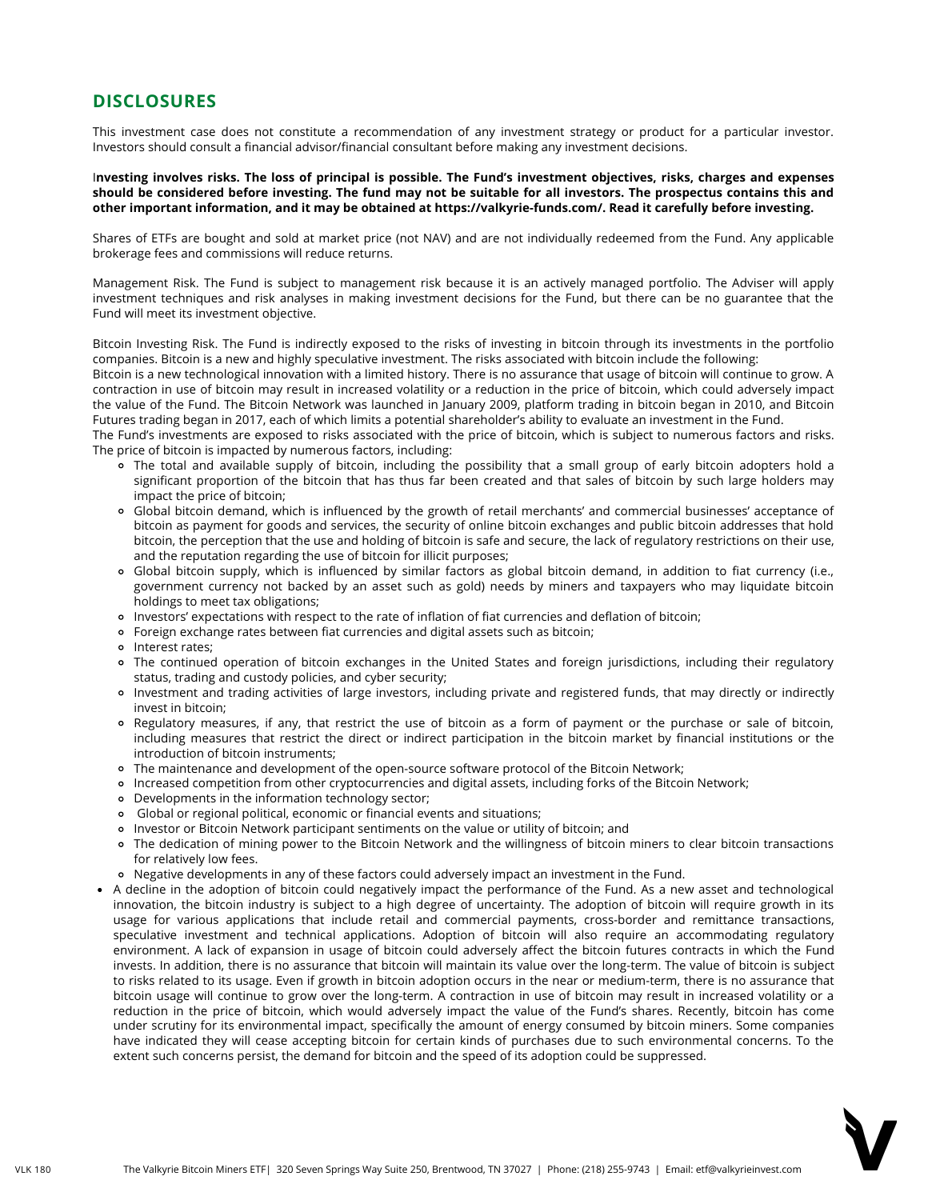This investment case does not constitute a recommendation of any investment strategy or product for a particular investor. Investors should consult a financial advisor/financial consultant before making any investment decisions.

Investing involves risks. The loss of principal is possible. The Fund's investment objectives, risks, charges and expenses should be considered before investing. The fund may not be suitable for all investors. The prospectus contains this and **other important information, and it may be obtained at [https://valkyrie-funds.com/.](https://valkyrie-funds.com/) Read it carefully before investing.**

Shares of ETFs are bought and sold at market price (not NAV) and are not individually redeemed from the Fund. Any applicable brokerage fees and commissions will reduce returns.

Management Risk. The Fund is subject to management risk because it is an actively managed portfolio. The Adviser will apply investment techniques and risk analyses in making investment decisions for the Fund, but there can be no guarantee that the Fund will meet its investment objective.

Bitcoin Investing Risk. The Fund is indirectly exposed to the risks of investing in bitcoin through its investments in the portfolio companies. Bitcoin is a new and highly speculative investment. The risks associated with bitcoin include the following:

Bitcoin is a new technological innovation with a limited history. There is no assurance that usage of bitcoin will continue to grow. A contraction in use of bitcoin may result in increased volatility or a reduction in the price of bitcoin, which could adversely impact the value of the Fund. The Bitcoin Network was launched in January 2009, platform trading in bitcoin began in 2010, and Bitcoin Futures trading began in 2017, each of which limits a potential shareholder's ability to evaluate an investment in the Fund.

The Fund's investments are exposed to risks associated with the price of bitcoin, which is subject to numerous factors and risks. The price of bitcoin is impacted by numerous factors, including:

- The total and available supply of bitcoin, including the possibility that a small group of early bitcoin adopters hold a significant proportion of the bitcoin that has thus far been created and that sales of bitcoin by such large holders may impact the price of bitcoin;
- Global bitcoin demand, which is influenced by the growth of retail merchants' and commercial businesses' acceptance of bitcoin as payment for goods and services, the security of online bitcoin exchanges and public bitcoin addresses that hold bitcoin, the perception that the use and holding of bitcoin is safe and secure, the lack of regulatory restrictions on their use, and the reputation regarding the use of bitcoin for illicit purposes;
- Global bitcoin supply, which is influenced by similar factors as global bitcoin demand, in addition to fiat currency (i.e., government currency not backed by an asset such as gold) needs by miners and taxpayers who may liquidate bitcoin holdings to meet tax obligations;
- Investors' expectations with respect to the rate of inflation of fiat currencies and deflation of bitcoin;
- Foreign exchange rates between fiat currencies and digital assets such as bitcoin;
- o Interest rates;
- The continued operation of bitcoin exchanges in the United States and foreign jurisdictions, including their regulatory status, trading and custody policies, and cyber security;
- Investment and trading activities of large investors, including private and registered funds, that may directly or indirectly invest in bitcoin;
- Regulatory measures, if any, that restrict the use of bitcoin as a form of payment or the purchase or sale of bitcoin, including measures that restrict the direct or indirect participation in the bitcoin market by financial institutions or the introduction of bitcoin instruments;
- The maintenance and development of the open-source software protocol of the Bitcoin Network;
- Increased competition from other cryptocurrencies and digital assets, including forks of the Bitcoin Network;
- Developments in the information technology sector;
- Global or regional political, economic or financial events and situations;
- Investor or Bitcoin Network participant sentiments on the value or utility of bitcoin; and
- The dedication of mining power to the Bitcoin Network and the willingness of bitcoin miners to clear bitcoin transactions for relatively low fees.
- Negative developments in any of these factors could adversely impact an investment in the Fund.
- A decline in the adoption of bitcoin could negatively impact the performance of the Fund. As a new asset and technological innovation, the bitcoin industry is subject to a high degree of uncertainty. The adoption of bitcoin will require growth in its usage for various applications that include retail and commercial payments, cross-border and remittance transactions, speculative investment and technical applications. Adoption of bitcoin will also require an accommodating regulatory environment. A lack of expansion in usage of bitcoin could adversely affect the bitcoin futures contracts in which the Fund invests. In addition, there is no assurance that bitcoin will maintain its value over the long-term. The value of bitcoin is subject to risks related to its usage. Even if growth in bitcoin adoption occurs in the near or medium-term, there is no assurance that bitcoin usage will continue to grow over the long-term. A contraction in use of bitcoin may result in increased volatility or a reduction in the price of bitcoin, which would adversely impact the value of the Fund's shares. Recently, bitcoin has come under scrutiny for its environmental impact, specifically the amount of energy consumed by bitcoin miners. Some companies have indicated they will cease accepting bitcoin for certain kinds of purchases due to such environmental concerns. To the extent such concerns persist, the demand for bitcoin and the speed of its adoption could be suppressed.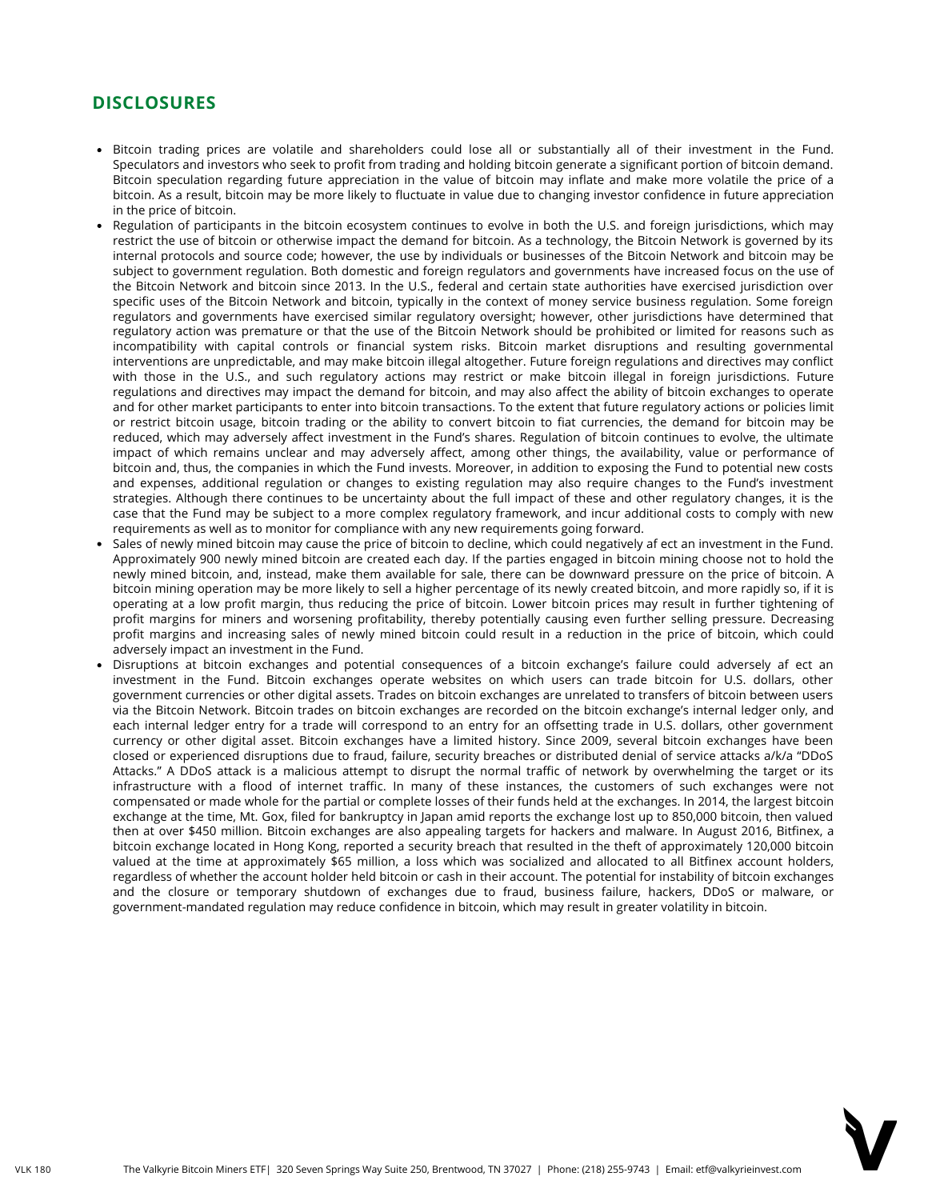- Bitcoin trading prices are volatile and shareholders could lose all or substantially all of their investment in the Fund. Speculators and investors who seek to profit from trading and holding bitcoin generate a significant portion of bitcoin demand. Bitcoin speculation regarding future appreciation in the value of bitcoin may inflate and make more volatile the price of a bitcoin. As a result, bitcoin may be more likely to fluctuate in value due to changing investor confidence in future appreciation in the price of bitcoin.
- Regulation of participants in the bitcoin ecosystem continues to evolve in both the U.S. and foreign jurisdictions, which may restrict the use of bitcoin or otherwise impact the demand for bitcoin. As a technology, the Bitcoin Network is governed by its internal protocols and source code; however, the use by individuals or businesses of the Bitcoin Network and bitcoin may be subject to government regulation. Both domestic and foreign regulators and governments have increased focus on the use of the Bitcoin Network and bitcoin since 2013. In the U.S., federal and certain state authorities have exercised jurisdiction over specific uses of the Bitcoin Network and bitcoin, typically in the context of money service business regulation. Some foreign regulators and governments have exercised similar regulatory oversight; however, other jurisdictions have determined that regulatory action was premature or that the use of the Bitcoin Network should be prohibited or limited for reasons such as incompatibility with capital controls or financial system risks. Bitcoin market disruptions and resulting governmental interventions are unpredictable, and may make bitcoin illegal altogether. Future foreign regulations and directives may conflict with those in the U.S., and such regulatory actions may restrict or make bitcoin illegal in foreign jurisdictions. Future regulations and directives may impact the demand for bitcoin, and may also affect the ability of bitcoin exchanges to operate and for other market participants to enter into bitcoin transactions. To the extent that future regulatory actions or policies limit or restrict bitcoin usage, bitcoin trading or the ability to convert bitcoin to fiat currencies, the demand for bitcoin may be reduced, which may adversely affect investment in the Fund's shares. Regulation of bitcoin continues to evolve, the ultimate impact of which remains unclear and may adversely affect, among other things, the availability, value or performance of bitcoin and, thus, the companies in which the Fund invests. Moreover, in addition to exposing the Fund to potential new costs and expenses, additional regulation or changes to existing regulation may also require changes to the Fund's investment strategies. Although there continues to be uncertainty about the full impact of these and other regulatory changes, it is the case that the Fund may be subject to a more complex regulatory framework, and incur additional costs to comply with new requirements as well as to monitor for compliance with any new requirements going forward.
- Sales of newly mined bitcoin may cause the price of bitcoin to decline, which could negatively af ect an investment in the Fund. Approximately 900 newly mined bitcoin are created each day. If the parties engaged in bitcoin mining choose not to hold the newly mined bitcoin, and, instead, make them available for sale, there can be downward pressure on the price of bitcoin. A bitcoin mining operation may be more likely to sell a higher percentage of its newly created bitcoin, and more rapidly so, if it is operating at a low profit margin, thus reducing the price of bitcoin. Lower bitcoin prices may result in further tightening of profit margins for miners and worsening profitability, thereby potentially causing even further selling pressure. Decreasing profit margins and increasing sales of newly mined bitcoin could result in a reduction in the price of bitcoin, which could adversely impact an investment in the Fund.
- Disruptions at bitcoin exchanges and potential consequences of a bitcoin exchange's failure could adversely af ect an investment in the Fund. Bitcoin exchanges operate websites on which users can trade bitcoin for U.S. dollars, other government currencies or other digital assets. Trades on bitcoin exchanges are unrelated to transfers of bitcoin between users via the Bitcoin Network. Bitcoin trades on bitcoin exchanges are recorded on the bitcoin exchange's internal ledger only, and each internal ledger entry for a trade will correspond to an entry for an offsetting trade in U.S. dollars, other government currency or other digital asset. Bitcoin exchanges have a limited history. Since 2009, several bitcoin exchanges have been closed or experienced disruptions due to fraud, failure, security breaches or distributed denial of service attacks a/k/a "DDoS Attacks." A DDoS attack is a malicious attempt to disrupt the normal traffic of network by overwhelming the target or its infrastructure with a flood of internet traffic. In many of these instances, the customers of such exchanges were not compensated or made whole for the partial or complete losses of their funds held at the exchanges. In 2014, the largest bitcoin exchange at the time, Mt. Gox, filed for bankruptcy in Japan amid reports the exchange lost up to 850,000 bitcoin, then valued then at over \$450 million. Bitcoin exchanges are also appealing targets for hackers and malware. In August 2016, Bitfinex, a bitcoin exchange located in Hong Kong, reported a security breach that resulted in the theft of approximately 120,000 bitcoin valued at the time at approximately \$65 million, a loss which was socialized and allocated to all Bitfinex account holders, regardless of whether the account holder held bitcoin or cash in their account. The potential for instability of bitcoin exchanges and the closure or temporary shutdown of exchanges due to fraud, business failure, hackers, DDoS or malware, or government-mandated regulation may reduce confidence in bitcoin, which may result in greater volatility in bitcoin.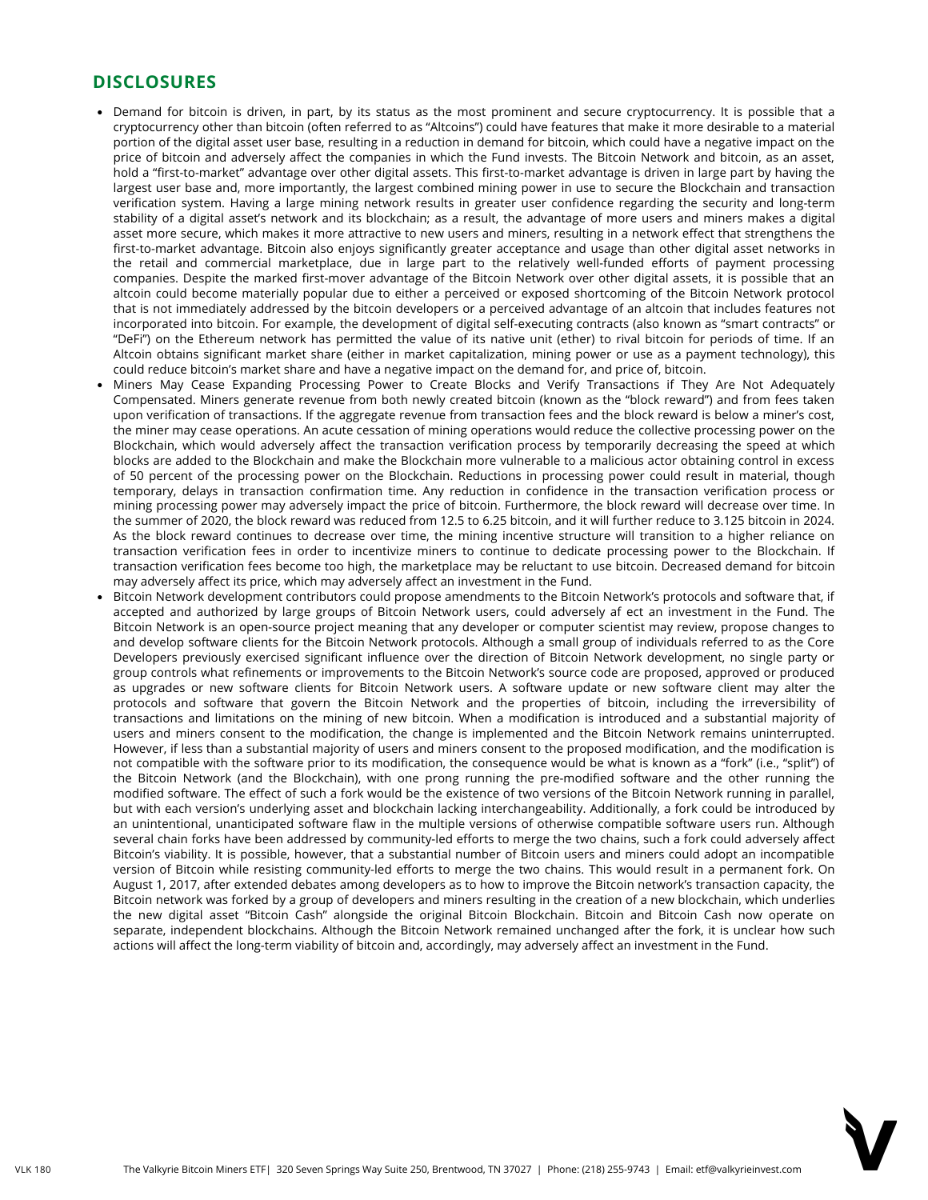- Demand for bitcoin is driven, in part, by its status as the most prominent and secure cryptocurrency. It is possible that a cryptocurrency other than bitcoin (often referred to as "Altcoins") could have features that make it more desirable to a material portion of the digital asset user base, resulting in a reduction in demand for bitcoin, which could have a negative impact on the price of bitcoin and adversely affect the companies in which the Fund invests. The Bitcoin Network and bitcoin, as an asset, hold a "first-to-market" advantage over other digital assets. This first-to-market advantage is driven in large part by having the largest user base and, more importantly, the largest combined mining power in use to secure the Blockchain and transaction verification system. Having a large mining network results in greater user confidence regarding the security and long-term stability of a digital asset's network and its blockchain; as a result, the advantage of more users and miners makes a digital asset more secure, which makes it more attractive to new users and miners, resulting in a network effect that strengthens the first-to-market advantage. Bitcoin also enjoys significantly greater acceptance and usage than other digital asset networks in the retail and commercial marketplace, due in large part to the relatively well-funded efforts of payment processing companies. Despite the marked first-mover advantage of the Bitcoin Network over other digital assets, it is possible that an altcoin could become materially popular due to either a perceived or exposed shortcoming of the Bitcoin Network protocol that is not immediately addressed by the bitcoin developers or a perceived advantage of an altcoin that includes features not incorporated into bitcoin. For example, the development of digital self-executing contracts (also known as "smart contracts" or "DeFi") on the Ethereum network has permitted the value of its native unit (ether) to rival bitcoin for periods of time. If an Altcoin obtains significant market share (either in market capitalization, mining power or use as a payment technology), this could reduce bitcoin's market share and have a negative impact on the demand for, and price of, bitcoin.
- Miners May Cease Expanding Processing Power to Create Blocks and Verify Transactions if They Are Not Adequately Compensated. Miners generate revenue from both newly created bitcoin (known as the "block reward") and from fees taken upon verification of transactions. If the aggregate revenue from transaction fees and the block reward is below a miner's cost, the miner may cease operations. An acute cessation of mining operations would reduce the collective processing power on the Blockchain, which would adversely affect the transaction verification process by temporarily decreasing the speed at which blocks are added to the Blockchain and make the Blockchain more vulnerable to a malicious actor obtaining control in excess of 50 percent of the processing power on the Blockchain. Reductions in processing power could result in material, though temporary, delays in transaction confirmation time. Any reduction in confidence in the transaction verification process or mining processing power may adversely impact the price of bitcoin. Furthermore, the block reward will decrease over time. In the summer of 2020, the block reward was reduced from 12.5 to 6.25 bitcoin, and it will further reduce to 3.125 bitcoin in 2024. As the block reward continues to decrease over time, the mining incentive structure will transition to a higher reliance on transaction verification fees in order to incentivize miners to continue to dedicate processing power to the Blockchain. If transaction verification fees become too high, the marketplace may be reluctant to use bitcoin. Decreased demand for bitcoin may adversely affect its price, which may adversely affect an investment in the Fund.
- Bitcoin Network development contributors could propose amendments to the Bitcoin Network's protocols and software that, if accepted and authorized by large groups of Bitcoin Network users, could adversely af ect an investment in the Fund. The Bitcoin Network is an open-source project meaning that any developer or computer scientist may review, propose changes to and develop software clients for the Bitcoin Network protocols. Although a small group of individuals referred to as the Core Developers previously exercised significant influence over the direction of Bitcoin Network development, no single party or group controls what refinements or improvements to the Bitcoin Network's source code are proposed, approved or produced as upgrades or new software clients for Bitcoin Network users. A software update or new software client may alter the protocols and software that govern the Bitcoin Network and the properties of bitcoin, including the irreversibility of transactions and limitations on the mining of new bitcoin. When a modification is introduced and a substantial majority of users and miners consent to the modification, the change is implemented and the Bitcoin Network remains uninterrupted. However, if less than a substantial majority of users and miners consent to the proposed modification, and the modification is not compatible with the software prior to its modification, the consequence would be what is known as a "fork" (i.e., "split") of the Bitcoin Network (and the Blockchain), with one prong running the pre-modified software and the other running the modified software. The effect of such a fork would be the existence of two versions of the Bitcoin Network running in parallel, but with each version's underlying asset and blockchain lacking interchangeability. Additionally, a fork could be introduced by an unintentional, unanticipated software flaw in the multiple versions of otherwise compatible software users run. Although several chain forks have been addressed by community-led efforts to merge the two chains, such a fork could adversely affect Bitcoin's viability. It is possible, however, that a substantial number of Bitcoin users and miners could adopt an incompatible version of Bitcoin while resisting community-led efforts to merge the two chains. This would result in a permanent fork. On August 1, 2017, after extended debates among developers as to how to improve the Bitcoin network's transaction capacity, the Bitcoin network was forked by a group of developers and miners resulting in the creation of a new blockchain, which underlies the new digital asset "Bitcoin Cash" alongside the original Bitcoin Blockchain. Bitcoin and Bitcoin Cash now operate on separate, independent blockchains. Although the Bitcoin Network remained unchanged after the fork, it is unclear how such actions will affect the long-term viability of bitcoin and, accordingly, may adversely affect an investment in the Fund.